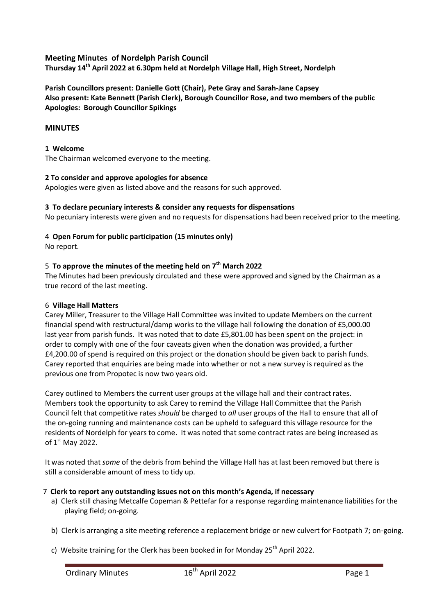# **Meeting Minutes of Nordelph Parish Council**

**Thursday 14th April 2022 at 6.30pm held at Nordelph Village Hall, High Street, Nordelph**

# **Parish Councillors present: Danielle Gott (Chair), Pete Gray and Sarah-Jane Capsey Also present: Kate Bennett (Parish Clerk), Borough Councillor Rose, and two members of the public Apologies: Borough Councillor Spikings**

# **MINUTES**

### **1 Welcome**

The Chairman welcomed everyone to the meeting.

#### **2 To consider and approve apologies for absence**

Apologies were given as listed above and the reasons for such approved.

### **3 To declare pecuniary interests & consider any requests for dispensations**

No pecuniary interests were given and no requests for dispensations had been received prior to the meeting.

### 4 **Open Forum for public participation (15 minutes only)**

No report.

### 5 **To approve the minutes of the meeting held on 7th March 2022**

The Minutes had been previously circulated and these were approved and signed by the Chairman as a true record of the last meeting.

#### 6 **Village Hall Matters**

Carey Miller, Treasurer to the Village Hall Committee was invited to update Members on the current financial spend with restructural/damp works to the village hall following the donation of £5,000.00 last year from parish funds. It was noted that to date £5,801.00 has been spent on the project: in order to comply with one of the four caveats given when the donation was provided, a further £4,200.00 of spend is required on this project or the donation should be given back to parish funds. Carey reported that enquiries are being made into whether or not a new survey is required as the previous one from Propotec is now two years old.

Carey outlined to Members the current user groups at the village hall and their contract rates. Members took the opportunity to ask Carey to remind the Village Hall Committee that the Parish Council felt that competitive rates *should* be charged to *all* user groups of the Hall to ensure that all of the on-going running and maintenance costs can be upheld to safeguard this village resource for the residents of Nordelph for years to come. It was noted that some contract rates are being increased as of  $1<sup>st</sup>$  May 2022.

It was noted that *some* of the debris from behind the Village Hall has at last been removed but there is still a considerable amount of mess to tidy up.

### 7 **Clerk to report any outstanding issues not on this month's Agenda, if necessary**

- a) Clerk still chasing Metcalfe Copeman & Pettefar for a response regarding maintenance liabilities for the playing field; on-going.
- b) Clerk is arranging a site meeting reference a replacement bridge or new culvert for Footpath 7; on-going.
- c) Website training for the Clerk has been booked in for Monday  $25<sup>th</sup>$  April 2022.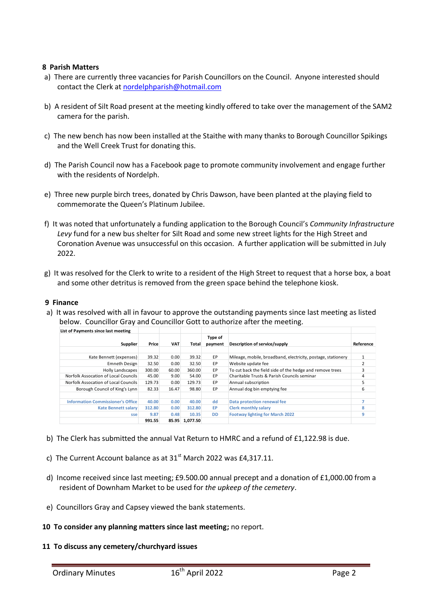### **8 Parish Matters**

- a) There are currently three vacancies for Parish Councillors on the Council. Anyone interested should contact the Clerk a[t nordelphparish@hotmail.com](mailto:nordelphparish@hotmail.com)
- b) A resident of Silt Road present at the meeting kindly offered to take over the management of the SAM2 camera for the parish.
- c) The new bench has now been installed at the Staithe with many thanks to Borough Councillor Spikings and the Well Creek Trust for donating this.
- d) The Parish Council now has a Facebook page to promote community involvement and engage further with the residents of Nordelph.
- e) Three new purple birch trees, donated by Chris Dawson, have been planted at the playing field to commemorate the Queen's Platinum Jubilee.
- f) It was noted that unfortunately a funding application to the Borough Council's *Community Infrastructure Levy* fund for a new bus shelter for Silt Road and some new street lights for the High Street and Coronation Avenue was unsuccessful on this occasion. A further application will be submitted in July 2022.
- g) It was resolved for the Clerk to write to a resident of the High Street to request that a horse box, a boat and some other detritus is removed from the green space behind the telephone kiosk.

### **9 Finance**

a) It was resolved with all in favour to approve the outstanding payments since last meeting as listed below. Councillor Gray and Councillor Gott to authorize after the meeting.

| List of Payments since last meeting      |        |            |          |           |                                                              |           |
|------------------------------------------|--------|------------|----------|-----------|--------------------------------------------------------------|-----------|
|                                          |        |            |          | Type of   |                                                              |           |
| Supplier                                 | Price  | <b>VAT</b> | Total    | payment   | Description of service/supply                                | Reference |
|                                          |        |            |          |           |                                                              |           |
| Kate Bennett (expenses)                  | 39.32  | 0.00       | 39.32    | EP        | Mileage, mobile, broadband, electricity, postage, stationery |           |
| <b>Emneth Design</b>                     | 32.50  | 0.00       | 32.50    | EP        | Website update fee                                           |           |
| <b>Holly Landscapes</b>                  | 300.00 | 60.00      | 360.00   | EP        | To cut back the field side of the hedge and remove trees     | 3         |
| Norfolk Assocation of Local Councils     | 45.00  | 9.00       | 54.00    | EP        | Charitable Trusts & Parish Councils seminar                  | 4         |
| Norfolk Assocation of Local Councils     | 129.73 | 0.00       | 129.73   | EP        | Annual subscription                                          | 5         |
| Borough Council of King's Lynn           | 82.33  | 16.47      | 98.80    | EP        | Annual dog bin emptying fee                                  | 6         |
|                                          |        |            |          |           |                                                              |           |
| <b>Information Commissioner's Office</b> | 40.00  | 0.00       | 40.00    | dd        | Data protection renewal fee                                  |           |
| <b>Kate Bennett salary</b>               | 312.80 | 0.00       | 312.80   | <b>EP</b> | <b>Clerk monthly salary</b>                                  | 8         |
| sse                                      | 9.87   | 0.48       | 10.35    | <b>DD</b> | <b>Footway lighting for March 2022</b>                       | 9         |
|                                          | 991.55 | 85.95      | 1.077.50 |           |                                                              |           |

- b) The Clerk has submitted the annual Vat Return to HMRC and a refund of £1,122.98 is due.
- c) The Current Account balance as at  $31<sup>st</sup>$  March 2022 was £4,317.11.
- d) Income received since last meeting; £9.500.00 annual precept and a donation of £1,000.00 from a resident of Downham Market to be used for *the upkeep of the cemetery*.
- e) Councillors Gray and Capsey viewed the bank statements.
- **10 To consider any planning matters since last meeting;** no report.
- **11 To discuss any cemetery/churchyard issues**